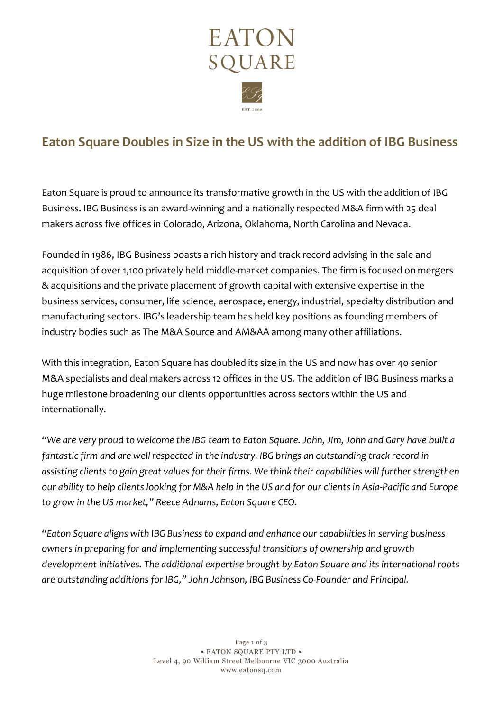

# **Eaton Square Doubles in Size in the US with the addition of IBG Business**

Eaton Square is proud to announce its transformative growth in the US with the addition of IBG Business. IBG Business is an award-winning and a nationally respected M&A firm with 25 deal makers across five offices in Colorado, Arizona, Oklahoma, North Carolina and Nevada.

Founded in 1986, IBG Business boasts a rich history and track record advising in the sale and acquisition of over 1,100 privately held middle-market companies. The firm is focused on mergers & acquisitions and the private placement of growth capital with extensive expertise in the business services, consumer, life science, aerospace, energy, industrial, specialty distribution and manufacturing sectors. IBG's leadership team has held key positions as founding members of industry bodies such as The M&A Source and AM&AA among many other affiliations.

With this integration, Eaton Square has doubled its size in the US and now has over 40 senior M&A specialists and deal makers across 12 offices in the US. The addition of IBG Business marks a huge milestone broadening our clients opportunities across sectors within the US and internationally.

*"We are very proud to welcome the IBG team to Eaton Square. John, Jim, John and Gary have built a fantastic firm and are well respected in the industry. IBG brings an outstanding track record in assisting clients to gain great values for their firms. We think their capabilities will further strengthen our ability to help clients looking for M&A help in the US and for our clients in Asia-Pacific and Europe to grow in the US market," Reece Adnams, Eaton Square CEO.*

*"Eaton Square aligns with IBG Business to expand and enhance our capabilities in serving business owners in preparing for and implementing successful transitions of ownership and growth development initiatives. The additional expertise brought by Eaton Square and its international roots are outstanding additions for IBG," John Johnson, IBG Business Co-Founder and Principal.*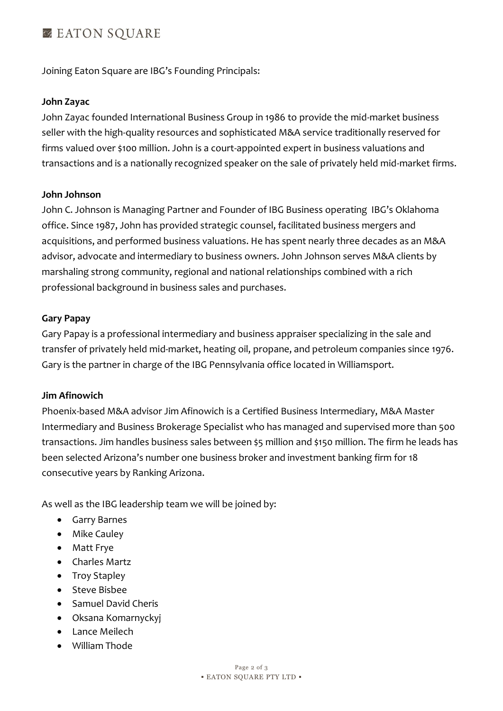## **EX EATON SOUARE**

Joining Eaton Square are IBG's Founding Principals:

#### **John Zayac**

John Zayac founded International Business Group in 1986 to provide the mid-market business seller with the high-quality resources and sophisticated M&A service traditionally reserved for firms valued over \$100 million. John is a court-appointed expert in business valuations and transactions and is a nationally recognized speaker on the sale of privately held mid-market firms.

#### **John Johnson**

John C. Johnson is Managing Partner and Founder of IBG Business operating IBG's Oklahoma office. Since 1987, John has provided strategic counsel, facilitated business mergers and acquisitions, and performed business valuations. He has spent nearly three decades as an M&A advisor, advocate and intermediary to business owners. John Johnson serves M&A clients by marshaling strong community, regional and national relationships combined with a rich professional background in business sales and purchases.

#### **Gary Papay**

Gary Papay is a professional intermediary and business appraiser specializing in the sale and transfer of privately held mid-market, heating oil, propane, and petroleum companies since 1976. Gary is the partner in charge of the IBG Pennsylvania office located in Williamsport.

### **Jim Afinowich**

Phoenix-based M&A advisor Jim Afinowich is a Certified Business Intermediary, M&A Master Intermediary and Business Brokerage Specialist who has managed and supervised more than 500 transactions. Jim handles business sales between \$5 million and \$150 million. The firm he leads has been selected Arizona's number one business broker and investment banking firm for 18 consecutive years by Ranking Arizona.

As well as the IBG leadership team we will be joined by:

- Garry Barnes
- Mike Cauley
- Matt Frye
- Charles Martz
- Troy Stapley
- Steve Bisbee
- Samuel David Cheris
- Oksana Komarnyckyj
- Lance Meilech
- William Thode